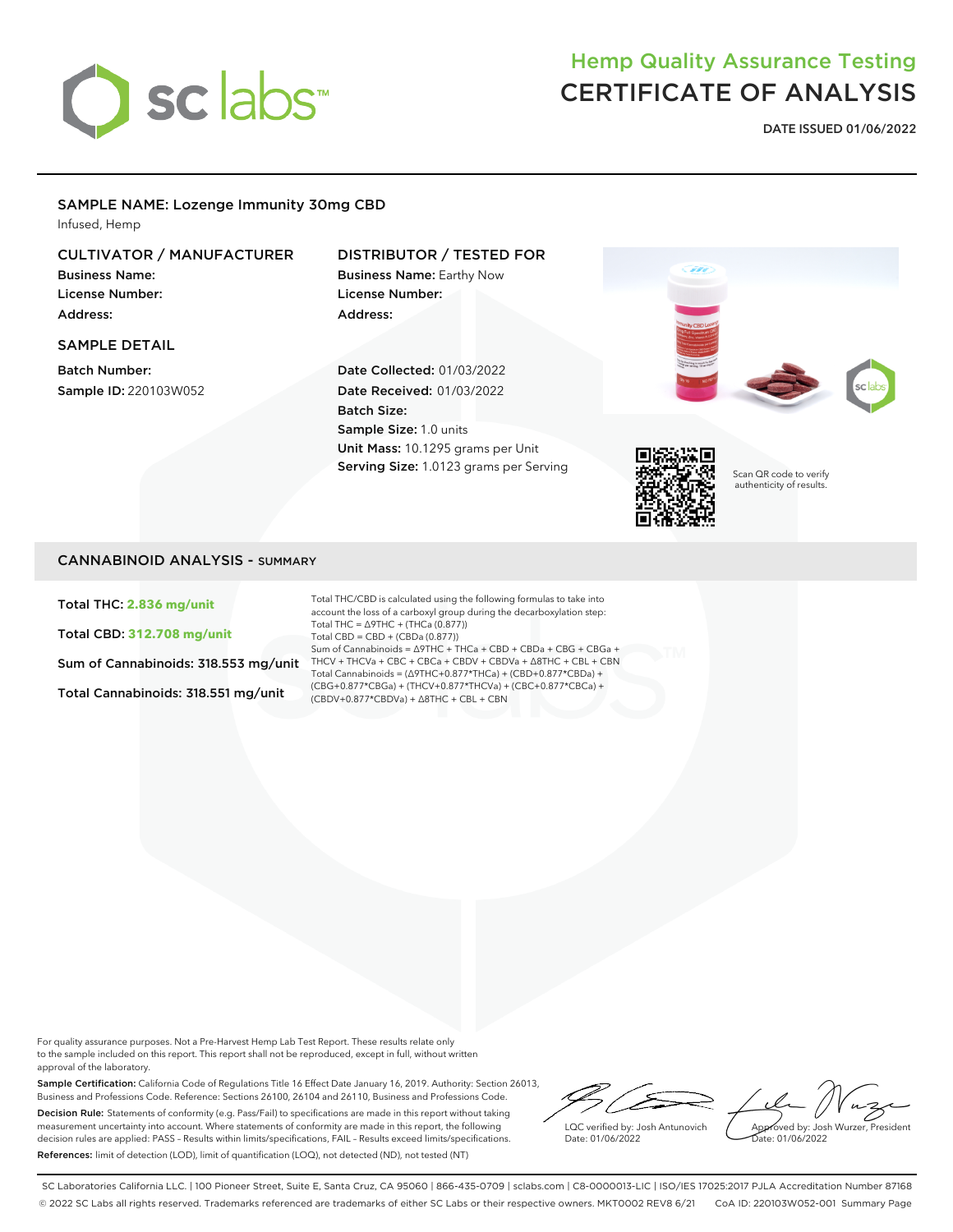

# Hemp Quality Assurance Testing CERTIFICATE OF ANALYSIS

**DATE ISSUED 01/06/2022**

#### SAMPLE NAME: Lozenge Immunity 30mg CBD

Infused, Hemp

## CULTIVATOR / MANUFACTURER

Business Name: License Number: Address:

#### SAMPLE DETAIL

Batch Number: Sample ID: 220103W052

## DISTRIBUTOR / TESTED FOR

Business Name: Earthy Now License Number: Address:

Date Collected: 01/03/2022 Date Received: 01/03/2022 Batch Size: Sample Size: 1.0 units Unit Mass: 10.1295 grams per Unit Serving Size: 1.0123 grams per Serving





Scan QR code to verify authenticity of results.

## CANNABINOID ANALYSIS - SUMMARY

Total THC: **2.836 mg/unit**

Total CBD: **312.708 mg/unit**

Sum of Cannabinoids: 318.553 mg/unit

Total Cannabinoids: 318.551 mg/unit

Total THC/CBD is calculated using the following formulas to take into account the loss of a carboxyl group during the decarboxylation step: Total THC = ∆9THC + (THCa (0.877)) Total CBD = CBD + (CBDa (0.877)) Sum of Cannabinoids = ∆9THC + THCa + CBD + CBDa + CBG + CBGa + THCV + THCVa + CBC + CBCa + CBDV + CBDVa + ∆8THC + CBL + CBN Total Cannabinoids = (∆9THC+0.877\*THCa) + (CBD+0.877\*CBDa) + (CBG+0.877\*CBGa) + (THCV+0.877\*THCVa) + (CBC+0.877\*CBCa) + (CBDV+0.877\*CBDVa) + ∆8THC + CBL + CBN

For quality assurance purposes. Not a Pre-Harvest Hemp Lab Test Report. These results relate only to the sample included on this report. This report shall not be reproduced, except in full, without written approval of the laboratory.

Sample Certification: California Code of Regulations Title 16 Effect Date January 16, 2019. Authority: Section 26013, Business and Professions Code. Reference: Sections 26100, 26104 and 26110, Business and Professions Code. Decision Rule: Statements of conformity (e.g. Pass/Fail) to specifications are made in this report without taking measurement uncertainty into account. Where statements of conformity are made in this report, the following decision rules are applied: PASS – Results within limits/specifications, FAIL – Results exceed limits/specifications. References: limit of detection (LOD), limit of quantification (LOQ), not detected (ND), not tested (NT)

LQC verified by: Josh Antunovich Date: 01/06/2022

Approved by: Josh Wurzer, President Date: 01/06/2022

SC Laboratories California LLC. | 100 Pioneer Street, Suite E, Santa Cruz, CA 95060 | 866-435-0709 | sclabs.com | C8-0000013-LIC | ISO/IES 17025:2017 PJLA Accreditation Number 87168 © 2022 SC Labs all rights reserved. Trademarks referenced are trademarks of either SC Labs or their respective owners. MKT0002 REV8 6/21 CoA ID: 220103W052-001 Summary Page